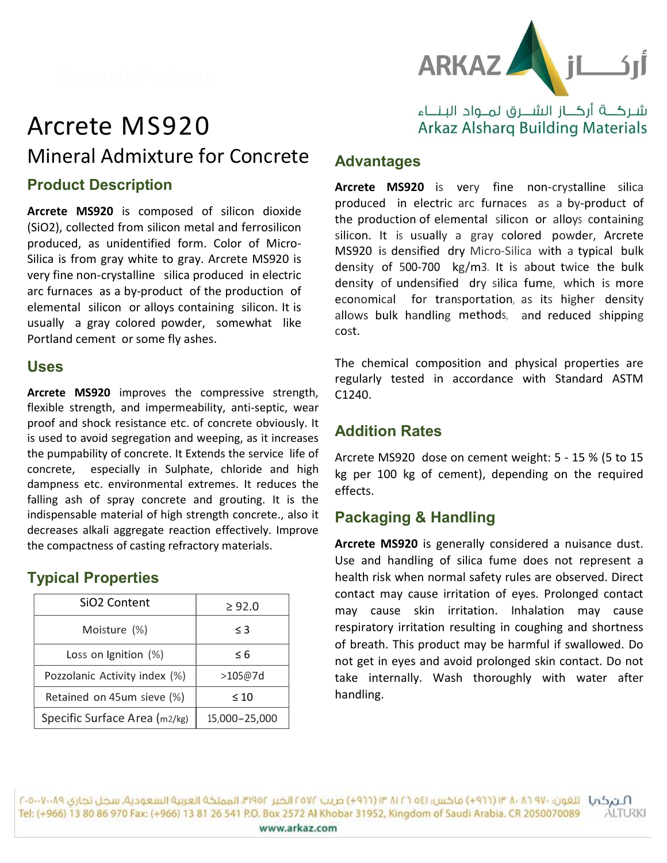



# Arcrete MS920 Mineral Admixture for Concrete Product Description

Arcrete MS920 is composed of silicon dioxide (SiO2), collected from silicon metal and ferrosilicon produced, as unidentified form. Color of Micro-Silica is from gray white to gray. Arcrete MS920 is very fine non-crystalline silica produced in electric arc furnaces as a by-product of the production of elemental silicon or alloys containing silicon. It is usually a gray colored powder, somewhat like Portland cement or some fly ashes.

#### Uses

Arcrete MS920 improves the compressive strength, flexible strength, and impermeability, anti-septic, wear proof and shock resistance etc. of concrete obviously. It is used to avoid segregation and weeping, as it increases the pumpability of concrete. It Extends the service life of concrete, especially in Sulphate, chloride and high dampness etc. environmental extremes. It reduces the falling ash of spray concrete and grouting. It is the indispensable material of high strength concrete., also it decreases alkali aggregate reaction effectively. Improve the compactness of casting refractory materials.

## Typical Properties

| SiO <sub>2</sub> Content      | $\geq 92.0$   |
|-------------------------------|---------------|
| Moisture (%)                  | $\leq$ 3      |
| Loss on Ignition (%)          | ≤ 6           |
| Pozzolanic Activity index (%) | >105@7d       |
| Retained on 45um sieve (%)    | $\leq 10$     |
| Specific Surface Area (m2/kg) | 15,000-25,000 |

## شـركـــة أركـــاز الشـــرق لمــواد البـنـــاء **Arkaz Alsharg Building Materials**

## Advantages

Arcrete MS920 is very fine non-crystalline silica produced in electric arc furnaces as a by-product of the production of elemental silicon or alloys containing silicon. It is usually a gray colored powder, Arcrete MS920 is densified dry Micro-Silica with a typical bulk density of 500-700 kg/m3. It is about twice the bulk density of undensified dry silica fume, which is more economical for transportation, as its higher density allows bulk handling methods, and reduced shipping cost.

The chemical composition and physical properties are regularly tested in accordance with Standard ASTM C1240.

## Addition Rates

Arcrete MS920 dose on cement weight: 5 - 15 % (5 to 15 kg per 100 kg of cement), depending on the required effects.

### Packaging & Handling

Pozzolanic Activity index (%) | >105@7d | take internally. Wash thoroughly with water after Arcrete MS920 is generally considered a nuisance dust. Use and handling of silica fume does not represent a health risk when normal safety rules are observed. Direct contact may cause irritation of eyes. Prolonged contact may cause skin irritation. Inhalation may cause respiratory irritation resulting in coughing and shortness of breath. This product may be harmful if swallowed. Do not get in eyes and avoid prolonged skin contact. Do not handling.

استركمها التقون: ٩٧٠ ٨٠ ١٣ (١٩٦٦) فاحس: ١٤٥ ١٦ ١٢ ١٣ (١٩٦٦) ص.ب ١٢٥٧٢ الذير ١٩٥٢، المملحة العربية السعودية. سجل تجارى ١٠٠٠٧٠٠٥٠٦ Tel: (+966) 13 80 86 970 Fax: (+966) 13 81 26 541 P.O. Box 2572 Al Khobar 31952, Kingdom of Saudi Arabia. CR 2050070089 **ALTURKI** www.arkaz.com